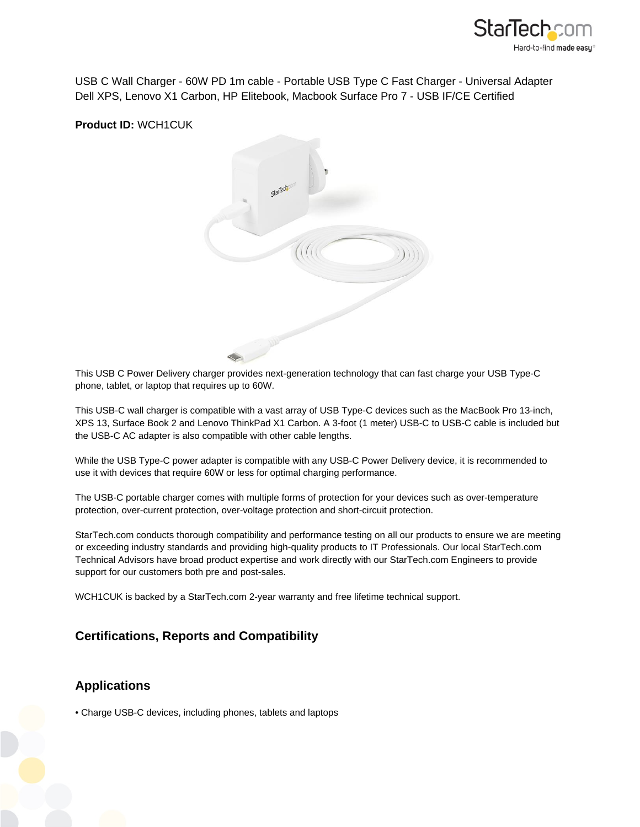

USB C Wall Charger - 60W PD 1m cable - Portable USB Type C Fast Charger - Universal Adapter Dell XPS, Lenovo X1 Carbon, HP Elitebook, Macbook Surface Pro 7 - USB IF/CE Certified

## **Product ID:** WCH1CUK



This USB C Power Delivery charger provides next-generation technology that can fast charge your USB Type-C phone, tablet, or laptop that requires up to 60W.

This USB-C wall charger is compatible with a vast array of USB Type-C devices such as the MacBook Pro 13-inch, XPS 13, Surface Book 2 and Lenovo ThinkPad X1 Carbon. A 3-foot (1 meter) USB-C to USB-C cable is included but the USB-C AC adapter is also compatible with other cable lengths.

While the USB Type-C power adapter is compatible with any USB-C Power Delivery device, it is recommended to use it with devices that require 60W or less for optimal charging performance.

The USB-C portable charger comes with multiple forms of protection for your devices such as over-temperature protection, over-current protection, over-voltage protection and short-circuit protection.

StarTech.com conducts thorough compatibility and performance testing on all our products to ensure we are meeting or exceeding industry standards and providing high-quality products to IT Professionals. Our local StarTech.com Technical Advisors have broad product expertise and work directly with our StarTech.com Engineers to provide support for our customers both pre and post-sales.

WCH1CUK is backed by a StarTech.com 2-year warranty and free lifetime technical support.

## **Certifications, Reports and Compatibility**

## **Applications**

• Charge USB-C devices, including phones, tablets and laptops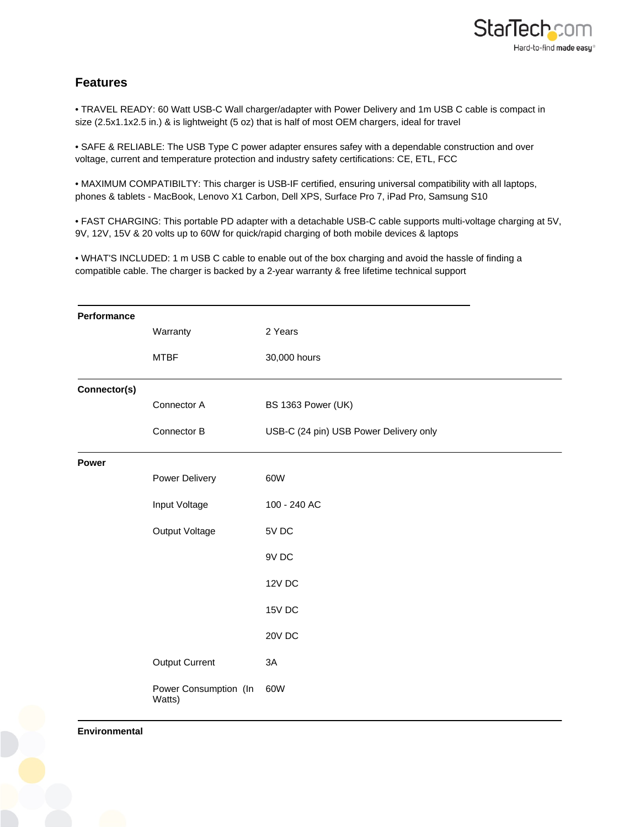

## **Features**

• TRAVEL READY: 60 Watt USB-C Wall charger/adapter with Power Delivery and 1m USB C cable is compact in size (2.5x1.1x2.5 in.) & is lightweight (5 oz) that is half of most OEM chargers, ideal for travel

• SAFE & RELIABLE: The USB Type C power adapter ensures safey with a dependable construction and over voltage, current and temperature protection and industry safety certifications: CE, ETL, FCC

• MAXIMUM COMPATIBILTY: This charger is USB-IF certified, ensuring universal compatibility with all laptops, phones & tablets - MacBook, Lenovo X1 Carbon, Dell XPS, Surface Pro 7, iPad Pro, Samsung S10

• FAST CHARGING: This portable PD adapter with a detachable USB-C cable supports multi-voltage charging at 5V, 9V, 12V, 15V & 20 volts up to 60W for quick/rapid charging of both mobile devices & laptops

• WHAT'S INCLUDED: 1 m USB C cable to enable out of the box charging and avoid the hassle of finding a compatible cable. The charger is backed by a 2-year warranty & free lifetime technical support

| Performance  |                                 |                                        |
|--------------|---------------------------------|----------------------------------------|
|              | Warranty                        | 2 Years                                |
|              | <b>MTBF</b>                     | 30,000 hours                           |
| Connector(s) |                                 |                                        |
|              | Connector A                     | BS 1363 Power (UK)                     |
|              | Connector B                     | USB-C (24 pin) USB Power Delivery only |
| Power        |                                 |                                        |
|              | Power Delivery                  | 60W                                    |
|              | Input Voltage                   | 100 - 240 AC                           |
|              | Output Voltage                  | 5V DC                                  |
|              |                                 | 9V DC                                  |
|              |                                 | 12V DC                                 |
|              |                                 | 15V DC                                 |
|              |                                 | 20V DC                                 |
|              | <b>Output Current</b>           | 3A                                     |
|              | Power Consumption (In<br>Watts) | 60W                                    |

**Environmental**